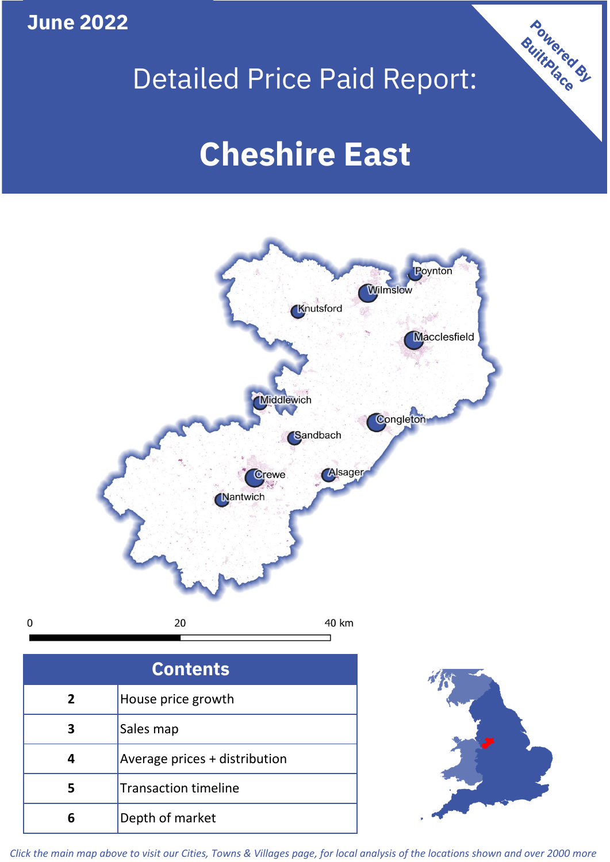**June 2022**

 $\mathbf 0$ 

# Detailed Price Paid Report:

# **Cheshire East**



**5 4 3** Sales map Average prices + distribution Transaction timeline **6** Depth of market



Powered By

*Click the main map above to visit our Cities, Towns & Villages page, for local analysis of the locations shown and over 2000 more*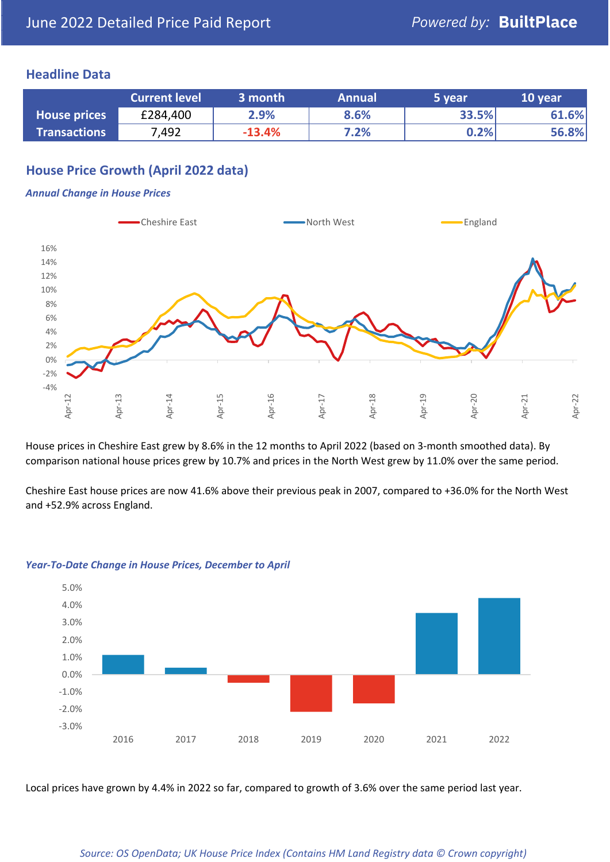### **Headline Data**

|                     | <b>Current level</b> | 3 month  | <b>Annual</b> | 5 year  | 10 year |
|---------------------|----------------------|----------|---------------|---------|---------|
| <b>House prices</b> | £284,400             | 2.9%     | 8.6%          | 33.5%   | 61.6%   |
| <b>Transactions</b> | 7,492                | $-13.4%$ | 7.2%          | $0.2\%$ | 56.8%   |

# **House Price Growth (April 2022 data)**

#### *Annual Change in House Prices*



House prices in Cheshire East grew by 8.6% in the 12 months to April 2022 (based on 3-month smoothed data). By comparison national house prices grew by 10.7% and prices in the North West grew by 11.0% over the same period.

Cheshire East house prices are now 41.6% above their previous peak in 2007, compared to +36.0% for the North West and +52.9% across England.



#### *Year-To-Date Change in House Prices, December to April*

Local prices have grown by 4.4% in 2022 so far, compared to growth of 3.6% over the same period last year.

#### *Source: OS OpenData; UK House Price Index (Contains HM Land Registry data © Crown copyright)*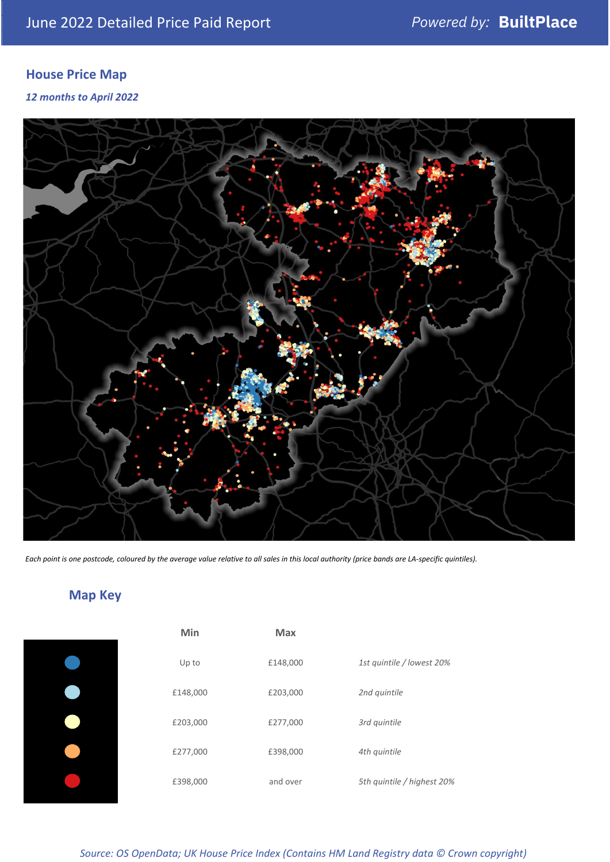# **House Price Map**

*12 months to April 2022*



*Each point is one postcode, coloured by the average value relative to all sales in this local authority (price bands are LA-specific quintiles).*

# **Map Key**

| 1st quintile / lowest 20%  |
|----------------------------|
|                            |
|                            |
|                            |
| 5th quintile / highest 20% |
|                            |

*Source: OS OpenData; UK House Price Index (Contains HM Land Registry data © Crown copyright)*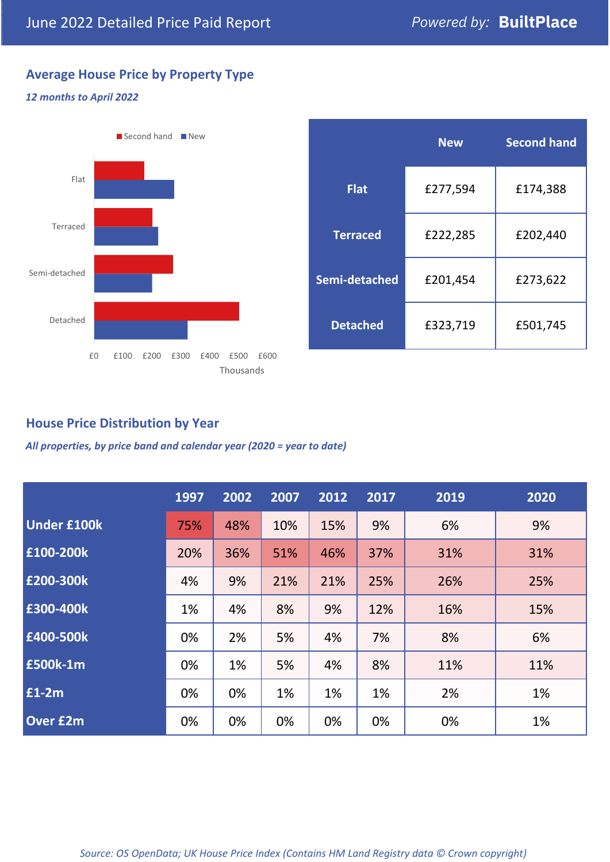# **Average House Price by Property Type**

#### *12 months to April 2022*



|                 | <b>New</b> | <b>Second hand</b> |  |  |
|-----------------|------------|--------------------|--|--|
| <b>Flat</b>     | £277,594   | £174,388           |  |  |
| <b>Terraced</b> | £222,285   | £202,440           |  |  |
| Semi-detached   | £201,454   | £273,622           |  |  |
| <b>Detached</b> | £323,719   | £501,745           |  |  |

## **House Price Distribution by Year**

*All properties, by price band and calendar year (2020 = year to date)*

|                    | 1997 | 2002 | 2007 | 2012 | 2017 | 2019 | 2020 |
|--------------------|------|------|------|------|------|------|------|
| <b>Under £100k</b> | 75%  | 48%  | 10%  | 15%  | 9%   | 6%   | 9%   |
| £100-200k          | 20%  | 36%  | 51%  | 46%  | 37%  | 31%  | 31%  |
| E200-300k          | 4%   | 9%   | 21%  | 21%  | 25%  | 26%  | 25%  |
| £300-400k          | 1%   | 4%   | 8%   | 9%   | 12%  | 16%  | 15%  |
| £400-500k          | 0%   | 2%   | 5%   | 4%   | 7%   | 8%   | 6%   |
| <b>£500k-1m</b>    | 0%   | 1%   | 5%   | 4%   | 8%   | 11%  | 11%  |
| £1-2m              | 0%   | 0%   | 1%   | 1%   | 1%   | 2%   | 1%   |
| <b>Over £2m</b>    | 0%   | 0%   | 0%   | 0%   | 0%   | 0%   | 1%   |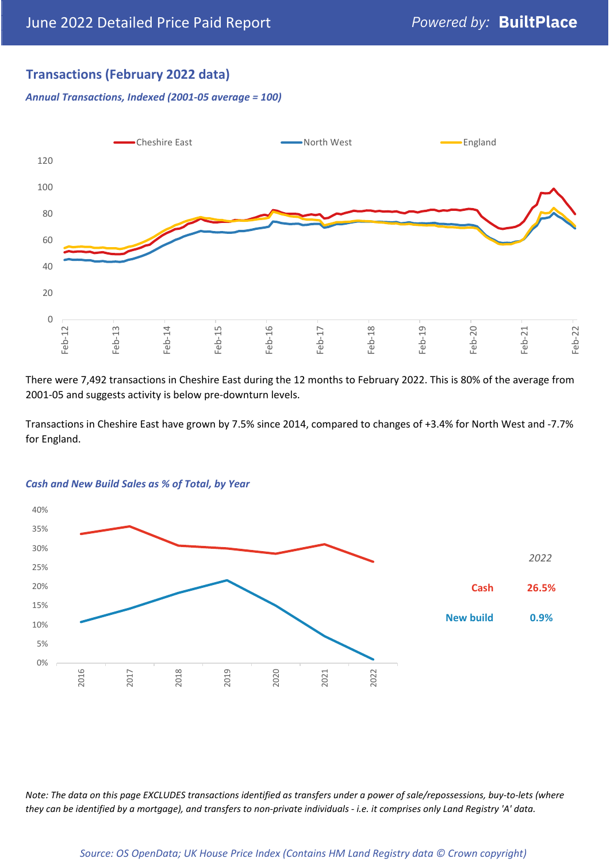## **Transactions (February 2022 data)**

*Annual Transactions, Indexed (2001-05 average = 100)*



There were 7,492 transactions in Cheshire East during the 12 months to February 2022. This is 80% of the average from 2001-05 and suggests activity is below pre-downturn levels.

Transactions in Cheshire East have grown by 7.5% since 2014, compared to changes of +3.4% for North West and -7.7% for England.



#### *Cash and New Build Sales as % of Total, by Year*

*Note: The data on this page EXCLUDES transactions identified as transfers under a power of sale/repossessions, buy-to-lets (where they can be identified by a mortgage), and transfers to non-private individuals - i.e. it comprises only Land Registry 'A' data.*